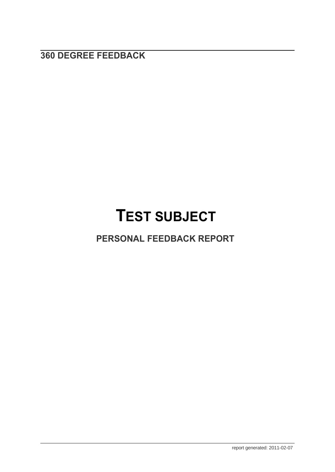# **TEST SUBJECT**

# **PERSONAL FEEDBACK REPORT**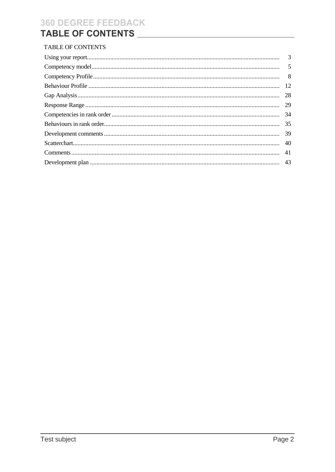# 

### **TABLE OF CONTENTS**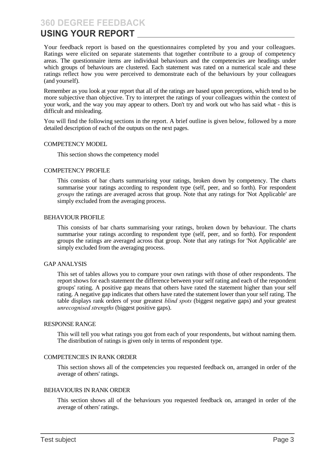## **USING YOUR REPORT**

Your feedback report is based on the questionnaires completed by you and your colleagues. Ratings were elicited on separate statements that together contribute to a group of competency areas. The questionnaire items are individual behaviours and the competencies are headings under which groups of behaviours are clustered. Each statement was rated on a numerical scale and these ratings reflect how you were perceived to demonstrate each of the behaviours by your colleagues (and yourself).

Remember as you look at your report that all of the ratings are based upon perceptions, which tend to be more subjective than objective. Try to interpret the ratings of your colleagues within the context of your work, and the way you may appear to others. Don't try and work out who has said what - this is difficult and misleading.

You will find the following sections in the report. A brief outline is given below, followed by a more detailed description of each of the outputs on the next pages.

#### COMPETENCY MODEL

This section shows the competency model

#### COMPETENCY PROFILE

This consists of bar charts summarising your ratings, broken down by competency. The charts summarise your ratings according to respondent type (self, peer, and so forth). For respondent *groups* the ratings are averaged across that group. Note that any ratings for 'Not Applicable' are simply excluded from the averaging process.

#### BEHAVIOUR PROFILE

This consists of bar charts summarising your ratings, broken down by behaviour. The charts summarise your ratings according to respondent type (self, peer, and so forth). For respondent groups the ratings are averaged across that group. Note that any ratings for 'Not Applicable' are simply excluded from the averaging process.

#### GAP ANALYSIS

This set of tables allows you to compare your own ratings with those of other respondents. The report shows for each statement the difference between your self rating and each of the respondent groups' rating. A positive gap means that others have rated the statement higher than your self rating. A negative gap indicates that others have rated the statement lower than your self rating. The table displays rank orders of your greatest *blind spots* (biggest negative gaps) and your greatest *unrecognised strengths* (biggest positive gaps).

#### RESPONSE RANGE

This will tell you what ratings you got from each of your respondents, but without naming them. The distribution of ratings is given only in terms of respondent type.

#### COMPETENCIES IN RANK ORDER

This section shows all of the competencies you requested feedback on, arranged in order of the average of others' ratings.

#### BEHAVIOURS IN RANK ORDER

This section shows all of the behaviours you requested feedback on, arranged in order of the average of others' ratings.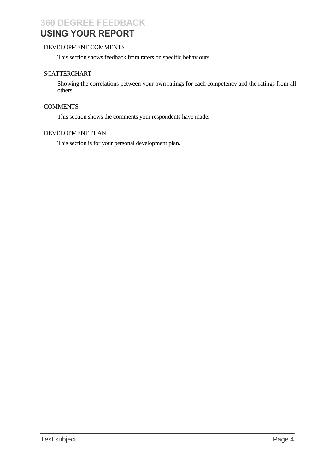# USING YOUR REPORT **\_\_\_\_\_\_**

#### DEVELOPMENT COMMENTS

This section shows feedback from raters on specific behaviours.

#### SCATTERCHART

Showing the correlations between your own ratings for each competency and the ratings from all others.

### **COMMENTS**

This section shows the comments your respondents have made.

#### DEVELOPMENT PLAN

This section is for your personal development plan.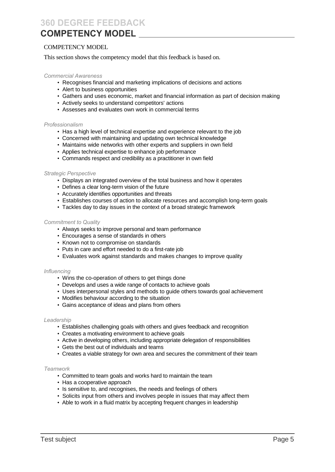## **COMPETENCY MODEL**

#### COMPETENCY MODEL

This section shows the competency model that this feedback is based on.

#### *Commercial Awareness*

- Recognises financial and marketing implications of decisions and actions
- Alert to business opportunities
- Gathers and uses economic, market and financial information as part of decision making
- Actively seeks to understand competitors' actions
- Assesses and evaluates own work in commercial terms

#### *Professionalism*

- Has a high level of technical expertise and experience relevant to the job
- Concerned with maintaining and updating own technical knowledge
- Maintains wide networks with other experts and suppliers in own field
- Applies technical expertise to enhance job performance
- Commands respect and credibility as a practitioner in own field

#### *Strategic Perspective*

- Displays an integrated overview of the total business and how it operates
- Defines a clear long-term vision of the future
- Accurately identifies opportunities and threats
- Establishes courses of action to allocate resources and accomplish long-term goals
- Tackles day to day issues in the context of a broad strategic framework

#### *Commitment to Quality*

- Always seeks to improve personal and team performance
- Encourages a sense of standards in others
- Known not to compromise on standards
- Puts in care and effort needed to do a first-rate job
- Evaluates work against standards and makes changes to improve quality

#### *Influencing*

- Wins the co-operation of others to get things done
- Develops and uses a wide range of contacts to achieve goals
- Uses interpersonal styles and methods to guide others towards goal achievement
- Modifies behaviour according to the situation
- Gains acceptance of ideas and plans from others

#### *Leadership*

- Establishes challenging goals with others and gives feedback and recognition
- Creates a motivating environment to achieve goals
- Active in developing others, including appropriate delegation of responsibilities
- Gets the best out of individuals and teams
- Creates a viable strategy for own area and secures the commitment of their team

#### *Teamwork*

- Committed to team goals and works hard to maintain the team
- Has a cooperative approach
- Is sensitive to, and recognises, the needs and feelings of others
- Solicits input from others and involves people in issues that may affect them
- Able to work in a fluid matrix by accepting frequent changes in leadership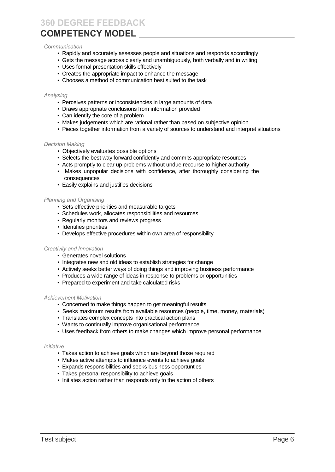## **COMPETENCY MODEL**

#### *Communication*

- Rapidly and accurately assesses people and situations and responds accordingly
- Gets the message across clearly and unambiguously, both verbally and in writing
- Uses formal presentation skills effectively
- Creates the appropriate impact to enhance the message
- Chooses a method of communication best suited to the task

#### *Analysing*

- Perceives patterns or inconsistencies in large amounts of data
- Draws appropriate conclusions from information provided
- Can identify the core of a problem
- Makes judgements which are rational rather than based on subjective opinion
- Pieces together information from a variety of sources to understand and interpret situations

#### *Decision Making*

- Objectively evaluates possible options
- Selects the best way forward confidently and commits appropriate resources
- Acts promptly to clear up problems without undue recourse to higher authority
- Makes unpopular decisions with confidence, after thoroughly considering the consequences
- Easily explains and justifies decisions

#### *Planning and Organising*

- Sets effective priorities and measurable targets
- Schedules work, allocates responsibilities and resources
- Regularly monitors and reviews progress
- Identifies priorities
- Develops effective procedures within own area of responsibility

#### *Creativity and Innovation*

- Generates novel solutions
- Integrates new and old ideas to establish strategies for change
- Actively seeks better ways of doing things and improving business performance
- Produces a wide range of ideas in response to problems or opportunities
- Prepared to experiment and take calculated risks

#### *Achievement Motivation*

- Concerned to make things happen to get meaningful results
- Seeks maximum results from available resources (people, time, money, materials)
- Translates complex concepts into practical action plans
- Wants to continually improve organisational performance
- Uses feedback from others to make changes which improve personal performance

#### *Initiative*

- Takes action to achieve goals which are beyond those required
- Makes active attempts to influence events to achieve goals
- Expands responsibilities and seeks business opportunties
- Takes personal responsibility to achieve goals
- Initiates action rather than responds only to the action of others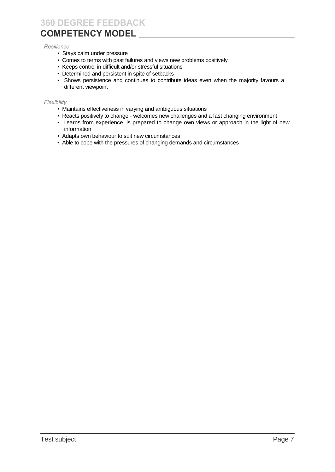## **COMPETENCY MODEL**

#### *Resilience*

- Stays calm under pressure
- Comes to terms with past failures and views new problems positively
- Keeps control in difficult and/or stressful situations
- Determined and persistent in spite of setbacks
- Shows persistence and continues to contribute ideas even when the majority favours a different viewpoint

#### *Flexibility*

- Maintains effectiveness in varying and ambiguous situations
- Reacts positively to change welcomes new challenges and a fast changing environment
- Learns from experience, is prepared to change own views or approach in the light of new information
- Adapts own behaviour to suit new circumstances
- Able to cope with the pressures of changing demands and circumstances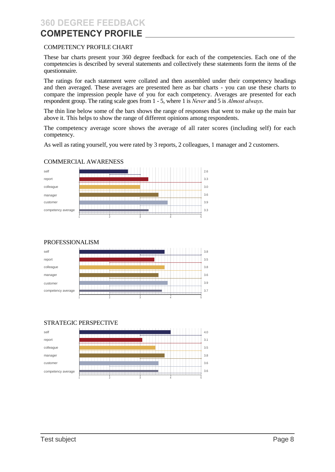## **COMPETENCY PROFILE**

#### COMPETENCY PROFILE CHART

These bar charts present your 360 degree feedback for each of the competencies. Each one of the competencies is described by several statements and collectively these statements form the items of the questionnaire.

The ratings for each statement were collated and then assembled under their competency headings and then averaged. These averages are presented here as bar charts - you can use these charts to compare the impression people have of you for each competency. Averages are presented for each respondent group. The rating scale goes from 1 - 5, where 1 is *Never* and 5 is *Almost always*.

The thin line below some of the bars shows the range of responses that went to make up the main bar above it. This helps to show the range of different opinions among respondents.

The competency average score shows the average of all rater scores (including self) for each competency.

As well as rating yourself, you were rated by 3 reports, 2 colleagues, 1 manager and 2 customers.

#### COMMERCIAL AWARENESS



### PROFESSIONALISM



### STRATEGIC PERSPECTIVE

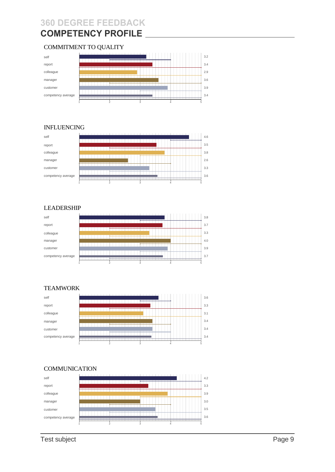# **COMPETENCY PROFILE**

#### COMMITMENT TO QUALITY



#### INFLUENCING



### LEADERSHIP



### TEAMWORK



### **COMMUNICATION**



Test subject **Page 9**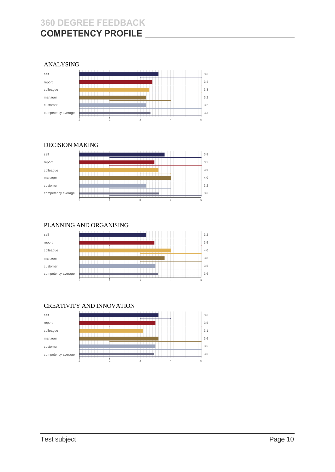## **360 DEGREE FEEDBACK COMPETENCY PROFILE**

#### ANALYSING



#### DECISION MAKING



### PLANNING AND ORGANISING



### CREATIVITY AND INNOVATION

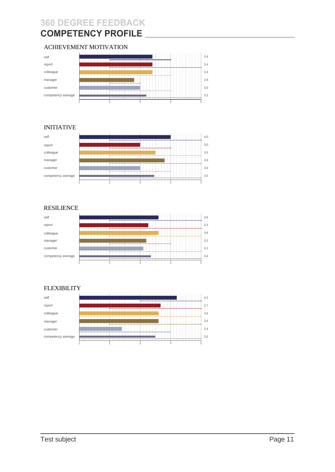# **COMPETENCY PROFILE**

#### ACHIEVEMENT MOTIVATION



#### INITIATIVE



#### RESILIENCE



### **FLEXIBILITY**

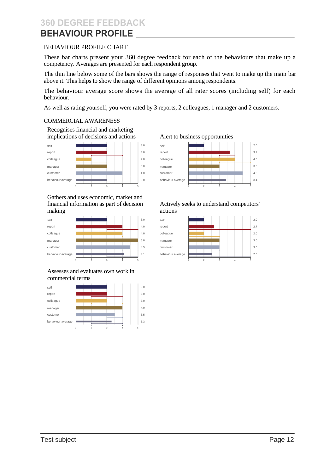## **BEHAVIOUR PROFILE**

#### BEHAVIOUR PROFILE CHART

These bar charts present your 360 degree feedback for each of the behaviours that make up a competency. Averages are presented for each respondent group.

The thin line below some of the bars shows the range of responses that went to make up the main bar above it. This helps to show the range of different opinions among respondents.

The behaviour average score shows the average of all rater scores (including self) for each behaviour.

As well as rating yourself, you were rated by 3 reports, 2 colleagues, 1 manager and 2 customers.

#### COMMERCIAL AWARENESS

Recognises financial and marketing implications of decisions and actions Alert to business opportunities



Gathers and uses economic, market and financial information as part of decision Actively seeks to understand competitors' making actions



#### Assesses and evaluates own work in commercial terms





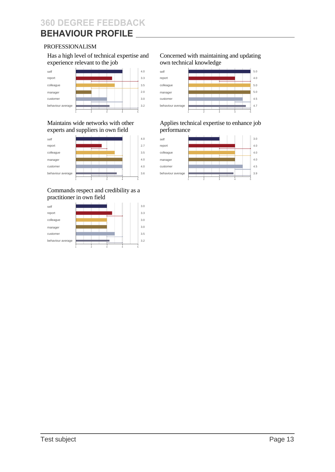### PROFESSIONALISM

experience relevant to the job own technical knowledge



# experts and suppliers in own field



#### Commands respect and credibility as a practitioner in own field



# Has a high level of technical expertise and Concerned with maintaining and updating



# Maintains wide networks with other Applies technical expertise to enhance job experts and suppliers in own field performance

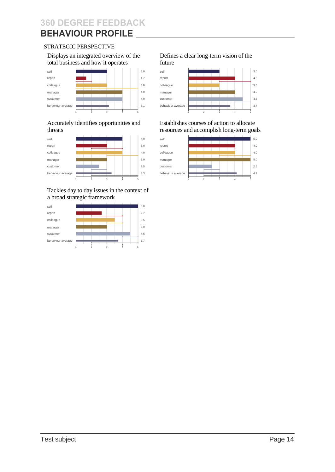# **BEHAVIOUR PROFILE**

### STRATEGIC PERSPECTIVE

Displays an integrated overview of the Defines a clear long-term vision of the total business and how it operates future



# Accurately identifies opportunities and Establishes courses of action to allocate



#### Tackles day to day issues in the context of a broad strategic framework





threats resources and accomplish long-term goals

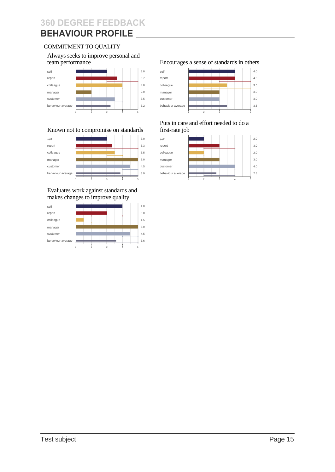# **BEHAVIOUR PROFILE**

#### COMMITMENT TO QUALITY

Always seeks to improve personal and



#### Known not to compromise on standards first-rate job



#### Evaluates work against standards and makes changes to improve quality



#### team performance Encourages a sense of standards in others



# Puts in care and effort needed to do a

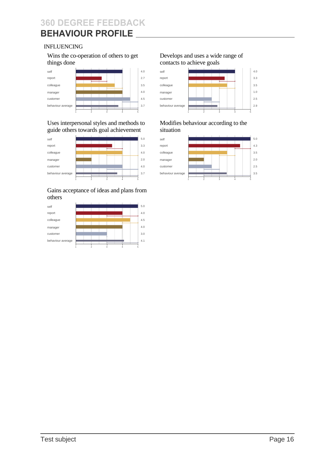#### INFLUENCING

Wins the co-operation of others to get Develops and uses a wide range of things done contacts to achieve goals



#### Uses interpersonal styles and methods to Modifies behaviour according to the guide others towards goal achievement situation



#### Gains acceptance of ideas and plans from others





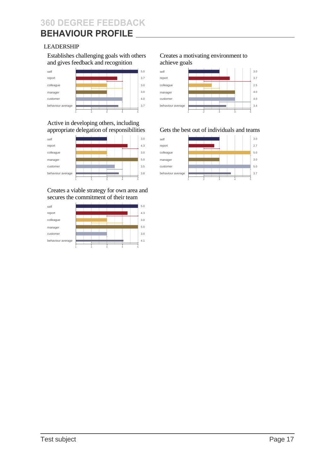### LEADERSHIP

Establishes challenging goals with others Creates a motivating environment to and gives feedback and recognition achieve goals



# Active in developing others, including



#### Creates a viable strategy for own area and secures the commitment of their team





#### appropriate delegation of responsibilities Gets the best out of individuals and teams

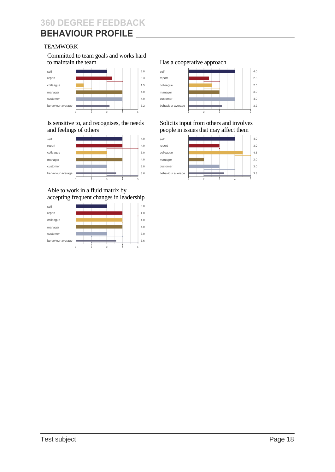### TEAMWORK

Committed to team goals and works hard to maintain the team Has a cooperative approach



Is sensitive to, and recognises, the needs Solicits input from others and involves and feelings of others people in issues that may affect them



#### Able to work in a fluid matrix by accepting frequent changes in leadership





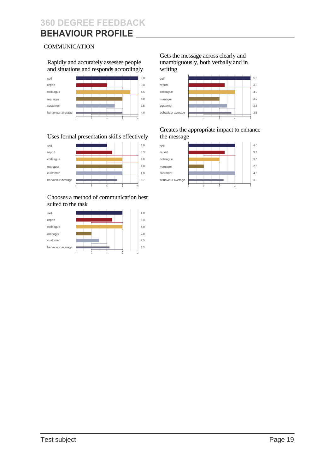### **COMMUNICATION**

Rapidly and accurately assesses people unambiguously, both verbally and in and situations and responds accordingly writing



#### Uses formal presentation skills effectively the message



Chooses a method of communication best suited to the task



Gets the message across clearly and



Creates the appropriate impact to enhance

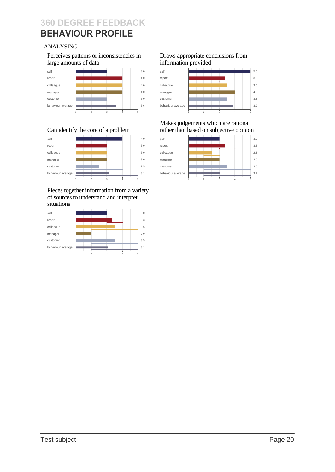### ANALYSING

Perceives patterns or inconsistencies in Draws appropriate conclusions from large amounts of data information provided





Pieces together information from a variety of sources to understand and interpret situations





#### Makes judgements which are rational Can identify the core of a problem rather than based on subjective opinion

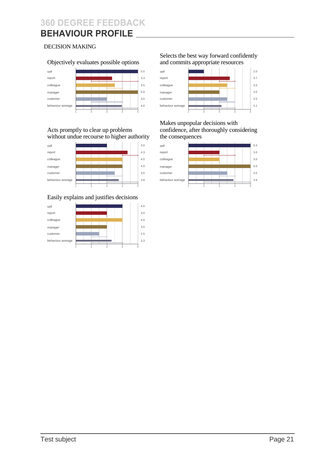### DECISION MAKING

#### Objectively evaluates possible options and commits appropriate resources



#### Acts promptly to clear up problems confidence, after thoroughly considering without undue recourse to higher authority the consequences



#### Easily explains and justifies decisions



# Selects the best way forward confidently



Makes unpopular decisions with

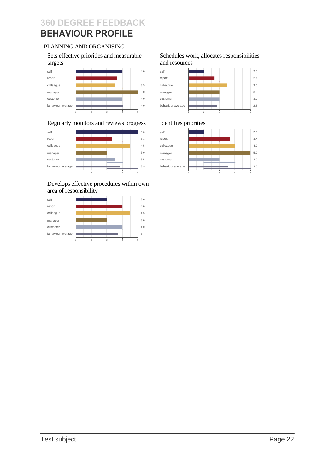# **BEHAVIOUR PROFILE**

#### PLANNING AND ORGANISING

targets and resources



#### Regularly monitors and reviews progress Identifies priorities



#### Develops effective procedures within own area of responsibility



# Sets effective priorities and measurable Schedules work, allocates responsibilities



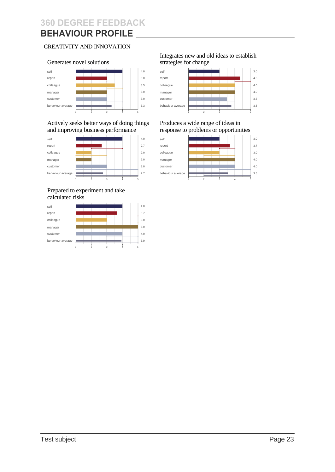### CREATIVITY AND INNOVATION



#### Generates novel solutions strategies for change

#### Actively seeks better ways of doing things Produces a wide range of ideas in and improving business performance response to problems or opportunities



#### Prepared to experiment and take calculated risks



# Integrates new and old ideas to establish



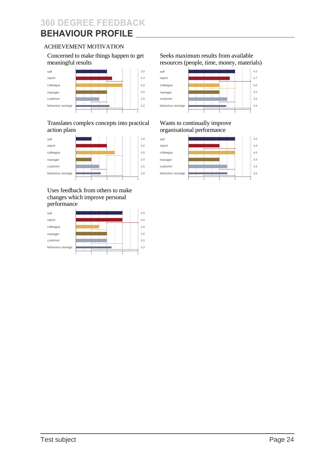# **BEHAVIOUR PROFILE**

#### ACHIEVEMENT MOTIVATION



#### Translates complex concepts into practical Wants to continually improve action plans organisational performance



Uses feedback from others to make changes which improve personal performance



#### Concerned to make things happen to get Seeks maximum results from available meaningful results resources (people, time, money, materials)



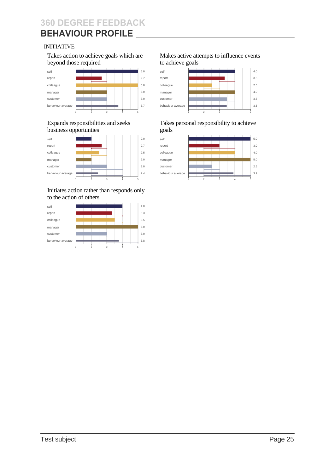### INITIATIVE

beyond those required



# business opportunties goals



#### Initiates action rather than responds only to the action of others



# Takes action to achieve goals which are Makes active attempts to influence events beyond those required to achieve goals



# Expands responsibilities and seeks Takes personal responsibility to achieve

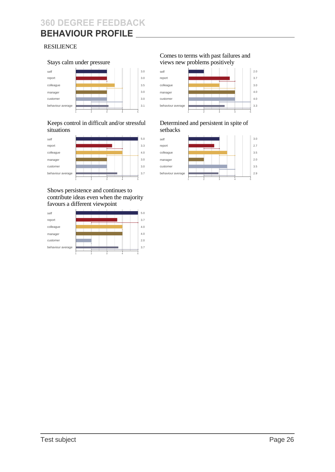### **360 DEGREE FEEDBACK BEHAVIOUR PROFILE**

#### RESILIENCE



#### Keeps control in difficult and/or stressful Determined and persistent in spite of situations setbacks



Shows persistence and continues to contribute ideas even when the majority favours a different viewpoint



# Comes to terms with past failures and



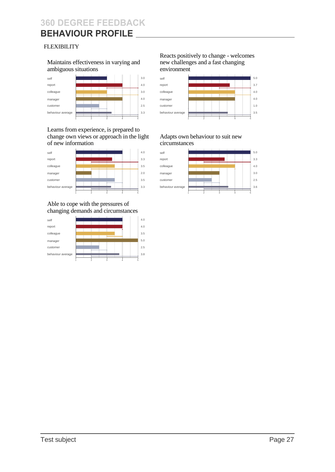### **FLEXIBILITY**

Maintains effectiveness in varying and new challenges and a fast changing ambiguous situations environment



Learns from experience, is prepared to change own views or approach in the light Adapts own behaviour to suit new of new information circumstances



Able to cope with the pressures of changing demands and circumstances



# Reacts positively to change - welcomes



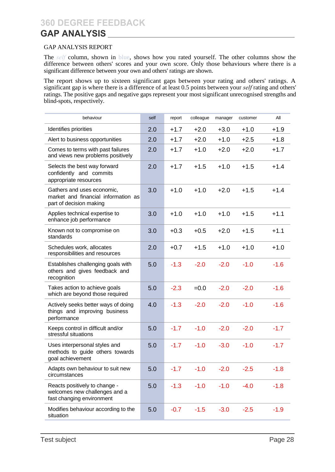## **GAP ANALYSIS**

#### GAP ANALYSIS REPORT

The *self* column, shown in blue, shows how you rated yourself. The other columns show the difference between others' scores and your own score. Only those behaviours where there is a significant difference between your own and others' ratings are shown.

The report shows up to sixteen significant gaps between your rating and others' ratings. A significant gap is where there is a difference of at least 0.5 points between your *self* rating and others' ratings. The positive gaps and negative gaps represent your most significant unrecognised strengths and blind-spots, respectively.

| behaviour                                                                                    | self | report | colleague | manager | customer | All    |
|----------------------------------------------------------------------------------------------|------|--------|-----------|---------|----------|--------|
| Identifies priorities                                                                        | 2.0  | $+1.7$ | $+2.0$    | $+3.0$  | $+1.0$   | $+1.9$ |
| Alert to business opportunities                                                              | 2.0  | $+1.7$ | $+2.0$    | $+1.0$  | $+2.5$   | $+1.8$ |
| Comes to terms with past failures<br>and views new problems positively                       | 2.0  | $+1.7$ | $+1.0$    | $+2.0$  | $+2.0$   | $+1.7$ |
| Selects the best way forward<br>confidently and commits<br>appropriate resources             | 2.0  | $+1.7$ | $+1.5$    | $+1.0$  | $+1.5$   | $+1.4$ |
| Gathers and uses economic,<br>market and financial information as<br>part of decision making | 3.0  | $+1.0$ | $+1.0$    | $+2.0$  | $+1.5$   | $+1.4$ |
| Applies technical expertise to<br>enhance job performance                                    | 3.0  | $+1.0$ | $+1.0$    | $+1.0$  | $+1.5$   | $+1.1$ |
| Known not to compromise on<br>standards                                                      | 3.0  | $+0.3$ | $+0.5$    | $+2.0$  | $+1.5$   | $+1.1$ |
| Schedules work, allocates<br>responsibilities and resources                                  | 2.0  | $+0.7$ | $+1.5$    | $+1.0$  | $+1.0$   | $+1.0$ |
| Establishes challenging goals with<br>others and gives feedback and<br>recognition           | 5.0  | $-1.3$ | $-2.0$    | $-2.0$  | $-1.0$   | $-1.6$ |
| Takes action to achieve goals<br>which are beyond those required                             | 5.0  | $-2.3$ | $=0.0$    | $-2.0$  | $-2.0$   | $-1.6$ |
| Actively seeks better ways of doing<br>things and improving business<br>performance          | 4.0  | $-1.3$ | $-2.0$    | $-2.0$  | $-1.0$   | $-1.6$ |
| Keeps control in difficult and/or<br>stressful situations                                    | 5.0  | $-1.7$ | $-1.0$    | $-2.0$  | $-2.0$   | $-1.7$ |
| Uses interpersonal styles and<br>methods to guide others towards<br>goal achievement         | 5.0  | $-1.7$ | $-1.0$    | $-3.0$  | $-1.0$   | $-1.7$ |
| Adapts own behaviour to suit new<br>circumstances                                            | 5.0  | $-1.7$ | $-1.0$    | $-2.0$  | $-2.5$   | $-1.8$ |
| Reacts positively to change -<br>welcomes new challenges and a<br>fast changing environment  | 5.0  | $-1.3$ | $-1.0$    | $-1.0$  | $-4.0$   | $-1.8$ |
| Modifies behaviour according to the<br>situation                                             | 5.0  | $-0.7$ | $-1.5$    | $-3.0$  | $-2.5$   | $-1.9$ |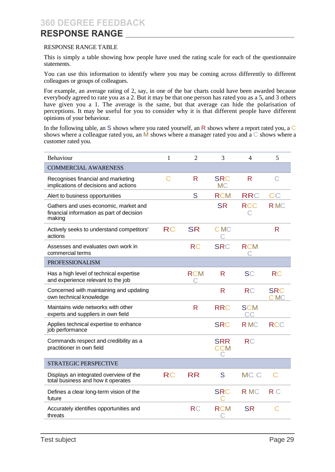## **RESPONSE RANGE**

#### RESPONSE RANGE TABLE

This is simply a table showing how people have used the rating scale for each of the questionnaire statements.

You can use this information to identify where you may be coming across differently to different colleagues or groups of colleagues.

For example, an average rating of 2, say, in one of the bar charts could have been awarded because everybody agreed to rate you as a 2. But it may be that one person has rated you as a 5, and 3 others have given you a 1. The average is the same, but that average can hide the polarisation of perceptions. It may be useful for you to consider why it is that different people have different opinions of your behaviour.

In the following table, an S shows where you rated yourself, an R shows where a report rated you, a  $\mathbb C$ shows where a colleague rated you, an  $\overline{M}$  shows where a manager rated you and a  $\overline{C}$  shows where a customer rated you.

| Behaviour                                                                                    | 1         | $\overline{2}$ | 3                             | 4                       | 5                        |
|----------------------------------------------------------------------------------------------|-----------|----------------|-------------------------------|-------------------------|--------------------------|
| <b>COMMERCIAL AWARENESS</b>                                                                  |           |                |                               |                         |                          |
| Recognises financial and marketing<br>implications of decisions and actions                  | С         | R              | <b>SRC</b><br><b>MC</b>       | R                       | С                        |
| Alert to business opportunities                                                              |           | S              | <b>RCM</b>                    | <b>RRC</b>              | CC                       |
| Gathers and uses economic, market and<br>financial information as part of decision<br>making |           |                | <b>SR</b>                     | <b>RCC</b>              | <b>RMC</b>               |
| Actively seeks to understand competitors'<br>actions                                         | <b>RC</b> | <b>SR</b>      | C MC                          |                         | R                        |
| Assesses and evaluates own work in<br>commercial terms                                       |           | <b>RC</b>      | <b>SRC</b>                    | <b>RCM</b><br>С         |                          |
| <b>PROFESSIONALISM</b>                                                                       |           |                |                               |                         |                          |
| Has a high level of technical expertise<br>and experience relevant to the job                |           | <b>RCM</b>     | R                             | <b>SC</b>               | <b>RC</b>                |
| Concerned with maintaining and updating<br>own technical knowledge                           |           |                | R                             | <b>RC</b>               | <b>SRC</b><br><b>CMC</b> |
| Maintains wide networks with other<br>experts and suppliers in own field                     |           | R              | <b>RRC</b>                    | <b>SCM</b><br><b>CC</b> |                          |
| Applies technical expertise to enhance<br>job performance                                    |           |                | <b>SRC</b>                    | <b>RMC</b>              | <b>RCC</b>               |
| Commands respect and credibility as a<br>practitioner in own field                           |           |                | <b>SRR</b><br><b>CCM</b><br>С | <b>RC</b>               |                          |
| <b>STRATEGIC PERSPECTIVE</b>                                                                 |           |                |                               |                         |                          |
| Displays an integrated overview of the<br>total business and how it operates                 | <b>RC</b> | <b>RR</b>      | S                             | MC C                    | C                        |
| Defines a clear long-term vision of the<br>future                                            |           |                | <b>SRC</b><br>∩               | R MC                    | R C                      |
| Accurately identifies opportunities and<br>threats                                           |           | <b>RC</b>      | <b>RCM</b><br>C               | <b>SR</b>               | С                        |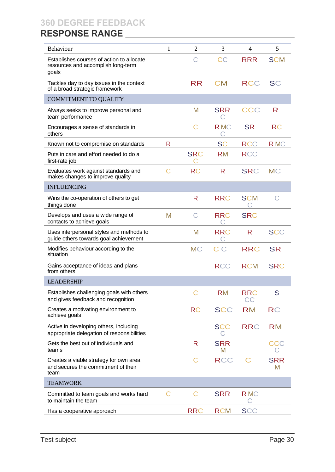| <b>Behaviour</b>                                                                         | 1 | $\overline{2}$  | 3               | 4                | 5               |
|------------------------------------------------------------------------------------------|---|-----------------|-----------------|------------------|-----------------|
| Establishes courses of action to allocate<br>resources and accomplish long-term<br>goals |   | G               | CC              | <b>RRR</b>       | <b>SCM</b>      |
| Tackles day to day issues in the context<br>of a broad strategic framework               |   | <b>RR</b>       | <b>CM</b>       | <b>RCC</b>       | <b>SC</b>       |
| <b>COMMITMENT TO QUALITY</b>                                                             |   |                 |                 |                  |                 |
| Always seeks to improve personal and<br>team performance                                 |   | M               | <b>SRR</b>      | CCC              | R               |
| Encourages a sense of standards in<br>others                                             |   | C               | <b>RMC</b><br>U | <b>SR</b>        | <b>RC</b>       |
| Known not to compromise on standards                                                     | R |                 | <b>SC</b>       | <b>RCC</b>       | <b>RMC</b>      |
| Puts in care and effort needed to do a<br>first-rate job                                 |   | <b>SRC</b><br>C | <b>RM</b>       | <b>RCC</b>       |                 |
| Evaluates work against standards and<br>makes changes to improve quality                 | C | <b>RC</b>       | R               | <b>SRC</b>       | <b>MC</b>       |
| <b>INFLUENCING</b>                                                                       |   |                 |                 |                  |                 |
| Wins the co-operation of others to get<br>things done                                    |   | R               | <b>RRC</b>      | <b>SCM</b>       | С               |
| Develops and uses a wide range of<br>contacts to achieve goals                           | M | C               | <b>RRC</b>      | <b>SRC</b>       |                 |
| Uses interpersonal styles and methods to<br>guide others towards goal achievement        |   | M               | <b>RRC</b><br>U | R.               | <b>SCC</b>      |
| Modifies behaviour according to the<br>situation                                         |   | <b>MC</b>       | C C             | <b>RRC</b>       | <b>SR</b>       |
| Gains acceptance of ideas and plans<br>from others                                       |   |                 | <b>RCC</b>      | <b>RCM</b>       | <b>SRC</b>      |
| <b>LEADERSHIP</b>                                                                        |   |                 |                 |                  |                 |
| Establishes challenging goals with others<br>and gives feedback and recognition          |   | C               | RM              | <b>RRC</b><br>CC | S.              |
| Creates a motivating environment to<br>achieve goals                                     |   | <b>RC</b>       | <b>SCC</b>      | <b>RM</b>        | <b>RC</b>       |
| Active in developing others, including<br>appropriate delegation of responsibilities     |   |                 | <b>SCC</b>      | <b>RRC</b>       | <b>RM</b>       |
| Gets the best out of individuals and<br>teams                                            |   | R               | <b>SRR</b><br>M |                  | CCC             |
| Creates a viable strategy for own area<br>and secures the commitment of their<br>team    |   | С               | <b>RCC</b>      |                  | <b>SRR</b><br>M |
| <b>TEAMWORK</b>                                                                          |   |                 |                 |                  |                 |
| Committed to team goals and works hard<br>to maintain the team                           | C | C               | <b>SRR</b>      | <b>RMC</b>       |                 |
| Has a cooperative approach                                                               |   | <b>RRC</b>      | <b>RCM</b>      | <b>SCC</b>       |                 |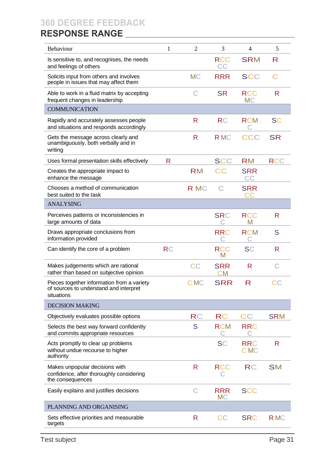| Behaviour                                                                                          | 1         | $\overline{2}$ | 3                       | $\overline{4}$          | 5          |
|----------------------------------------------------------------------------------------------------|-----------|----------------|-------------------------|-------------------------|------------|
| Is sensitive to, and recognises, the needs<br>and feelings of others                               |           |                | <b>RCC</b><br>CC        | <b>SRM</b>              | R          |
| Solicits input from others and involves<br>people in issues that may affect them                   |           | <b>MC</b>      | <b>RRR</b>              | <b>SCC</b>              | C          |
| Able to work in a fluid matrix by accepting<br>frequent changes in leadership                      |           | C              | <b>SR</b>               | <b>RCC</b><br><b>MC</b> | R          |
| <b>COMMUNICATION</b>                                                                               |           |                |                         |                         |            |
| Rapidly and accurately assesses people<br>and situations and responds accordingly                  |           | R              | <b>RC</b>               | <b>RCM</b>              | <b>SC</b>  |
| Gets the message across clearly and<br>unambiguously, both verbally and in<br>writing              |           | R              | <b>RMC</b>              | CCC                     | <b>SR</b>  |
| Uses formal presentation skills effectively                                                        | R         |                | <b>SCC</b>              | <b>RM</b>               | <b>RCC</b> |
| Creates the appropriate impact to<br>enhance the message                                           |           | <b>RM</b>      | CC                      | <b>SRR</b><br>CC        |            |
| Chooses a method of communication<br>best suited to the task                                       |           | R MC           | G                       | <b>SRR</b><br>CC        |            |
| <b>ANALYSING</b>                                                                                   |           |                |                         |                         |            |
| Perceives patterns or inconsistencies in<br>large amounts of data                                  |           |                | <b>SRC</b>              | <b>RCC</b><br>M         | R          |
| Draws appropriate conclusions from<br>information provided                                         |           |                | <b>RRC</b>              | <b>RCM</b>              | S          |
| Can identify the core of a problem                                                                 | <b>RC</b> |                | <b>RCC</b><br>M         | <b>SC</b>               | R          |
| Makes judgements which are rational<br>rather than based on subjective opinion                     |           | CC             | <b>SRR</b><br><b>CM</b> | R                       | С          |
| Pieces together information from a variety<br>of sources to understand and interpret<br>situations |           | C MC           | <b>SRR</b>              | R                       | СC         |
| <b>DECISION MAKING</b>                                                                             |           |                |                         |                         |            |
| Objectively evaluates possible options                                                             |           | <b>RC</b>      | <b>RC</b>               | CC                      | <b>SRM</b> |
| Selects the best way forward confidently<br>and commits appropriate resources                      |           | S              | <b>RCM</b>              | <b>RRC</b>              |            |
| Acts promptly to clear up problems<br>without undue recourse to higher<br>authority                |           |                | <b>SC</b>               | <b>RRC</b><br>C MC      | R          |
| Makes unpopular decisions with<br>confidence, after thoroughly considering<br>the consequences     |           | R              | <b>RCC</b>              | <b>RC</b>               | <b>SM</b>  |
| Easily explains and justifies decisions                                                            |           | С              | <b>RRR</b><br><b>MC</b> | <b>SCC</b>              |            |
| PLANNING AND ORGANISING                                                                            |           |                |                         |                         |            |
| Sets effective priorities and measurable<br>targets                                                |           | R              | <b>CC</b>               | <b>SRC</b>              | <b>RMC</b> |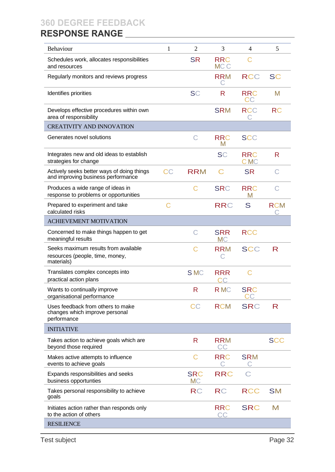| Behaviour                                                                             | 1  | $\overline{2}$          | 3                       | 4                  | 5               |
|---------------------------------------------------------------------------------------|----|-------------------------|-------------------------|--------------------|-----------------|
| Schedules work, allocates responsibilities<br>and resources                           |    | <b>SR</b>               | <b>RRC</b><br>MC C      | G                  |                 |
| Regularly monitors and reviews progress                                               |    |                         | <b>RRM</b><br>C         | <b>RCC</b>         | <b>SC</b>       |
| Identifies priorities                                                                 |    | <b>SC</b>               | R                       | <b>RRC</b><br>CC   | M               |
| Develops effective procedures within own<br>area of responsibility                    |    |                         | <b>SRM</b>              | <b>RCC</b>         | <b>RC</b>       |
| <b>CREATIVITY AND INNOVATION</b>                                                      |    |                         |                         |                    |                 |
| Generates novel solutions                                                             |    | C                       | <b>RRC</b><br>M         | <b>SCC</b>         |                 |
| Integrates new and old ideas to establish<br>strategies for change                    |    |                         | <b>SC</b>               | <b>RRC</b><br>C MC | R               |
| Actively seeks better ways of doing things<br>and improving business performance      | CC | <b>RRM</b>              | C                       | <b>SR</b>          | С               |
| Produces a wide range of ideas in<br>response to problems or opportunities            |    | C                       | <b>SRC</b>              | <b>RRC</b><br>M    | C               |
| Prepared to experiment and take<br>calculated risks                                   | C  |                         | <b>RRC</b>              | S                  | <b>RCM</b><br>C |
| <b>ACHIEVEMENT MOTIVATION</b>                                                         |    |                         |                         |                    |                 |
| Concerned to make things happen to get<br>meaningful results                          |    | С                       | <b>SRR</b><br><b>MC</b> | <b>RCC</b>         |                 |
| Seeks maximum results from available<br>resources (people, time, money,<br>materials) |    | C                       | <b>RRM</b><br>С         | <b>SCC</b>         | R               |
| Translates complex concepts into<br>practical action plans                            |    | <b>SMC</b>              | <b>RRR</b>              | C                  |                 |
| Wants to continually improve<br>organisational performance                            |    | R                       | <b>RMC</b>              | <b>SRC</b>         |                 |
| Uses feedback from others to make<br>changes which improve personal<br>performance    |    | CC                      | <b>RCM</b>              | <b>SRC</b>         | R               |
| <b>INITIATIVE</b>                                                                     |    |                         |                         |                    |                 |
| Takes action to achieve goals which are<br>beyond those required                      |    | R                       | <b>RRM</b><br><b>CC</b> |                    | <b>SCC</b>      |
| Makes active attempts to influence<br>events to achieve goals                         |    | C                       | <b>RRC</b><br>C         | <b>SRM</b><br>С    |                 |
| Expands responsibilities and seeks<br>business opportunties                           |    | <b>SRC</b><br><b>MC</b> | <b>RRC</b>              | C                  |                 |
| Takes personal responsibility to achieve<br>goals                                     |    | <b>RC</b>               | <b>RC</b>               | <b>RCC</b>         | <b>SM</b>       |
| Initiates action rather than responds only<br>to the action of others                 |    |                         | <b>RRC</b><br><b>CC</b> | <b>SRC</b>         | M               |
| <b>RESILIENCE</b>                                                                     |    |                         |                         |                    |                 |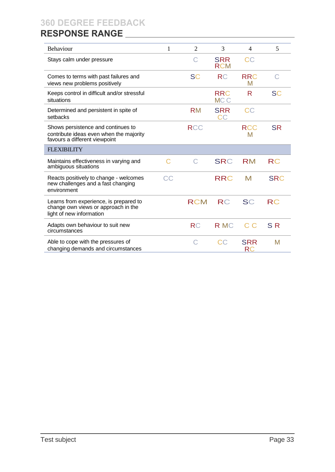| Behaviour                                                                                                      | 1  | $\mathcal{D}_{\mathcal{L}}$ | 3                             | $\overline{4}$   | 5              |
|----------------------------------------------------------------------------------------------------------------|----|-----------------------------|-------------------------------|------------------|----------------|
| Stays calm under pressure                                                                                      |    | C                           | <b>SRR</b><br><b>RCM</b>      | CC               |                |
| Comes to terms with past failures and<br>views new problems positively                                         |    | <b>SC</b>                   | <b>RC</b>                     | <b>RRC</b><br>M  | C              |
| Keeps control in difficult and/or stressful<br>situations                                                      |    |                             | <b>RRC</b><br>MC <sub>C</sub> | R                | <b>SC</b>      |
| Determined and persistent in spite of<br>setbacks                                                              |    | <b>RM</b>                   | <b>SRR</b><br><b>CC</b>       | CC               |                |
| Shows persistence and continues to<br>contribute ideas even when the majority<br>favours a different viewpoint |    | <b>RCC</b>                  |                               | <b>RCC</b><br>M  | <b>SR</b>      |
| <b>FLEXIBILITY</b>                                                                                             |    |                             |                               |                  |                |
| Maintains effectiveness in varying and<br>ambiguous situations                                                 | C  | C                           | <b>SRC</b>                    | <b>RM</b>        | <b>RC</b>      |
| Reacts positively to change - welcomes<br>new challenges and a fast changing<br>environment                    | CC |                             | <b>RRC</b>                    | M                | <b>SRC</b>     |
| Learns from experience, is prepared to<br>change own views or approach in the<br>light of new information      |    | <b>RCM</b>                  | <b>RC</b>                     | SC               | <b>RC</b>      |
| Adapts own behaviour to suit new<br>circumstances                                                              |    | <b>RC</b>                   | R MC                          | C <sub>C</sub>   | S <sub>R</sub> |
| Able to cope with the pressures of<br>changing demands and circumstances                                       |    | С                           | CC                            | <b>SRR</b><br>RC | M              |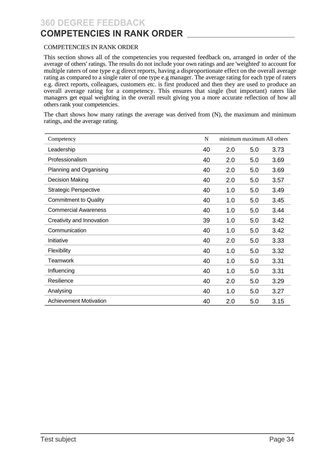## **COMPETENCIES IN RANK ORDER**

#### COMPETENCIES IN RANK ORDER

This section shows all of the competencies you requested feedback on, arranged in order of the average of others' ratings. The results do not include your own ratings and are 'weighted' to account for multiple raters of one type e.g direct reports, having a disproportionate effect on the overall average rating as compared to a single rater of one type e.g manager. The average rating for each type of raters e.g. direct reports, colleagues, customers etc. is first produced and then they are used to produce an overall average rating for a competency. This ensures that single (but important) raters like managers get equal weighting in the overall result giving you a more accurate reflection of how all others rank your competencies.

The chart shows how many ratings the average was derived from (N), the maximum and minimum ratings, and the average rating.

| Competency                    | N  | minimum maximum All others |     |      |
|-------------------------------|----|----------------------------|-----|------|
| Leadership                    | 40 | 2.0                        | 5.0 | 3.73 |
| Professionalism               | 40 | 2.0                        | 5.0 | 3.69 |
| Planning and Organising       | 40 | 2.0                        | 5.0 | 3.69 |
| Decision Making               | 40 | 2.0                        | 5.0 | 3.57 |
| <b>Strategic Perspective</b>  | 40 | 1.0                        | 5.0 | 3.49 |
| <b>Commitment to Quality</b>  | 40 | 1.0                        | 5.0 | 3.45 |
| <b>Commercial Awareness</b>   | 40 | 1.0                        | 5.0 | 3.44 |
| Creativity and Innovation     | 39 | 1.0                        | 5.0 | 3.42 |
| Communication                 | 40 | 1.0                        | 5.0 | 3.42 |
| Initiative                    | 40 | 2.0                        | 5.0 | 3.33 |
| Flexibility                   | 40 | 1.0                        | 5.0 | 3.32 |
| Teamwork                      | 40 | 1.0                        | 5.0 | 3.31 |
| Influencing                   | 40 | 1.0                        | 5.0 | 3.31 |
| Resilience                    | 40 | 2.0                        | 5.0 | 3.29 |
| Analysing                     | 40 | 1.0                        | 5.0 | 3.27 |
| <b>Achievement Motivation</b> | 40 | 2.0                        | 5.0 | 3.15 |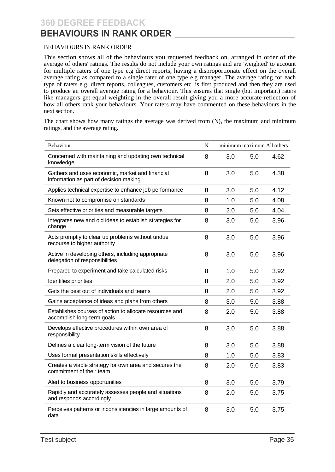# **BEHAVIOURS IN RANK ORDER**

#### BEHAVIOURS IN RANK ORDER

This section shows all of the behaviours you requested feedback on, arranged in order of the average of others' ratings. The results do not include your own ratings and are 'weighted' to account for multiple raters of one type e.g direct reports, having a disproportionate effect on the overall average rating as compared to a single rater of one type e.g manager. The average rating for each type of raters e.g. direct reports, colleagues, customers etc. is first produced and then they are used to produce an overall average rating for a behaviour. This ensures that single (but important) raters like managers get equal weighting in the overall result giving you a more accurate reflection of how all others rank your behaviours. Your raters may have commented on these behaviours in the next section.

The chart shows how many ratings the average was derived from (N), the maximum and minimum ratings, and the average rating.

| Behaviour                                                                                 | N | minimum maximum All others |     |      |
|-------------------------------------------------------------------------------------------|---|----------------------------|-----|------|
| Concerned with maintaining and updating own technical<br>knowledge                        | 8 | 3.0                        | 5.0 | 4.62 |
| Gathers and uses economic, market and financial<br>information as part of decision making | 8 | 3.0                        | 5.0 | 4.38 |
| Applies technical expertise to enhance job performance                                    | 8 | 3.0                        | 5.0 | 4.12 |
| Known not to compromise on standards                                                      | 8 | 1.0                        | 5.0 | 4.08 |
| Sets effective priorities and measurable targets                                          | 8 | 2.0                        | 5.0 | 4.04 |
| Integrates new and old ideas to establish strategies for<br>change                        | 8 | 3.0                        | 5.0 | 3.96 |
| Acts promptly to clear up problems without undue<br>recourse to higher authority          | 8 | 3.0                        | 5.0 | 3.96 |
| Active in developing others, including appropriate<br>delegation of responsibilities      | 8 | 3.0                        | 5.0 | 3.96 |
| Prepared to experiment and take calculated risks                                          | 8 | 1.0                        | 5.0 | 3.92 |
| Identifies priorities                                                                     | 8 | 2.0                        | 5.0 | 3.92 |
| Gets the best out of individuals and teams                                                | 8 | 2.0                        | 5.0 | 3.92 |
| Gains acceptance of ideas and plans from others                                           | 8 | 3.0                        | 5.0 | 3.88 |
| Establishes courses of action to allocate resources and<br>accomplish long-term goals     | 8 | 2.0                        | 5.0 | 3.88 |
| Develops effective procedures within own area of<br>responsibility                        | 8 | 3.0                        | 5.0 | 3.88 |
| Defines a clear long-term vision of the future                                            | 8 | 3.0                        | 5.0 | 3.88 |
| Uses formal presentation skills effectively                                               | 8 | 1.0                        | 5.0 | 3.83 |
| Creates a viable strategy for own area and secures the<br>commitment of their team        | 8 | 2.0                        | 5.0 | 3.83 |
| Alert to business opportunities                                                           | 8 | 3.0                        | 5.0 | 3.79 |
| Rapidly and accurately assesses people and situations<br>and responds accordingly         | 8 | 2.0                        | 5.0 | 3.75 |
| Perceives patterns or inconsistencies in large amounts of<br>data                         | 8 | 3.0                        | 5.0 | 3.75 |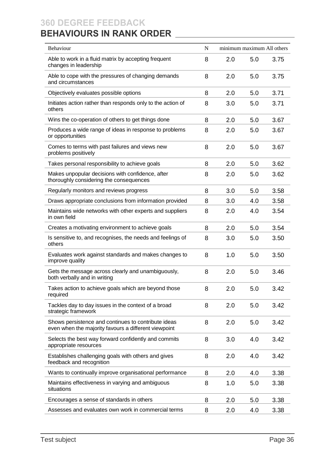# **BEHAVIOURS IN RANK ORDER**

| Behaviour                                                                                                   | N | minimum maximum All others |     |      |
|-------------------------------------------------------------------------------------------------------------|---|----------------------------|-----|------|
| Able to work in a fluid matrix by accepting frequent<br>changes in leadership                               | 8 | 2.0                        | 5.0 | 3.75 |
| Able to cope with the pressures of changing demands<br>and circumstances                                    | 8 | 2.0                        | 5.0 | 3.75 |
| Objectively evaluates possible options                                                                      | 8 | 2.0                        | 5.0 | 3.71 |
| Initiates action rather than responds only to the action of<br>others                                       | 8 | 3.0                        | 5.0 | 3.71 |
| Wins the co-operation of others to get things done                                                          | 8 | 2.0                        | 5.0 | 3.67 |
| Produces a wide range of ideas in response to problems<br>or opportunities                                  | 8 | 2.0                        | 5.0 | 3.67 |
| Comes to terms with past failures and views new<br>problems positively                                      | 8 | 2.0                        | 5.0 | 3.67 |
| Takes personal responsibility to achieve goals                                                              | 8 | 2.0                        | 5.0 | 3.62 |
| Makes unpopular decisions with confidence, after<br>thoroughly considering the consequences                 | 8 | 2.0                        | 5.0 | 3.62 |
| Regularly monitors and reviews progress                                                                     | 8 | 3.0                        | 5.0 | 3.58 |
| Draws appropriate conclusions from information provided                                                     | 8 | 3.0                        | 4.0 | 3.58 |
| Maintains wide networks with other experts and suppliers<br>in own field                                    | 8 | 2.0                        | 4.0 | 3.54 |
| Creates a motivating environment to achieve goals                                                           | 8 | 2.0                        | 5.0 | 3.54 |
| Is sensitive to, and recognises, the needs and feelings of<br>others                                        | 8 | 3.0                        | 5.0 | 3.50 |
| Evaluates work against standards and makes changes to<br>improve quality                                    | 8 | 1.0                        | 5.0 | 3.50 |
| Gets the message across clearly and unambiguously,<br>both verbally and in writing                          | 8 | 2.0                        | 5.0 | 3.46 |
| Takes action to achieve goals which are beyond those<br>required                                            | 8 | 2.0                        | 5.0 | 3.42 |
| Tackles day to day issues in the context of a broad<br>strategic framework                                  | 8 | 2.0                        | 5.0 | 3.42 |
| Shows persistence and continues to contribute ideas<br>even when the majority favours a different viewpoint | 8 | 2.0                        | 5.0 | 3.42 |
| Selects the best way forward confidently and commits<br>appropriate resources                               | 8 | 3.0                        | 4.0 | 3.42 |
| Establishes challenging goals with others and gives<br>feedback and recognition                             | 8 | 2.0                        | 4.0 | 3.42 |
| Wants to continually improve organisational performance                                                     | 8 | 2.0                        | 4.0 | 3.38 |
| Maintains effectiveness in varying and ambiguous<br>situations                                              | 8 | 1.0                        | 5.0 | 3.38 |
| Encourages a sense of standards in others                                                                   | 8 | 2.0                        | 5.0 | 3.38 |
| Assesses and evaluates own work in commercial terms                                                         | 8 | 2.0                        | 4.0 | 3.38 |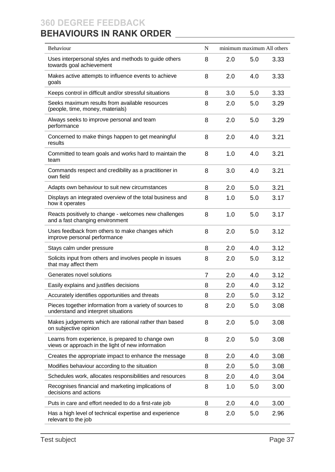# **BEHAVIOURS IN RANK ORDER**

| Behaviour                                                                                              | N | minimum maximum All others |     |      |
|--------------------------------------------------------------------------------------------------------|---|----------------------------|-----|------|
| Uses interpersonal styles and methods to guide others<br>towards goal achievement                      | 8 | 2.0                        | 5.0 | 3.33 |
| Makes active attempts to influence events to achieve<br>goals                                          | 8 | 2.0                        | 4.0 | 3.33 |
| Keeps control in difficult and/or stressful situations                                                 | 8 | 3.0                        | 5.0 | 3.33 |
| Seeks maximum results from available resources<br>(people, time, money, materials)                     | 8 | 2.0                        | 5.0 | 3.29 |
| Always seeks to improve personal and team<br>performance                                               | 8 | 2.0                        | 5.0 | 3.29 |
| Concerned to make things happen to get meaningful<br>results                                           | 8 | 2.0                        | 4.0 | 3.21 |
| Committed to team goals and works hard to maintain the<br>team                                         | 8 | 1.0                        | 4.0 | 3.21 |
| Commands respect and credibility as a practitioner in<br>own field                                     | 8 | 3.0                        | 4.0 | 3.21 |
| Adapts own behaviour to suit new circumstances                                                         | 8 | 2.0                        | 5.0 | 3.21 |
| Displays an integrated overview of the total business and<br>how it operates                           | 8 | 1.0                        | 5.0 | 3.17 |
| Reacts positively to change - welcomes new challenges<br>and a fast changing environment               | 8 | 1.0                        | 5.0 | 3.17 |
| Uses feedback from others to make changes which<br>improve personal performance                        | 8 | 2.0                        | 5.0 | 3.12 |
| Stays calm under pressure                                                                              | 8 | 2.0                        | 4.0 | 3.12 |
| Solicits input from others and involves people in issues<br>that may affect them                       | 8 | 2.0                        | 5.0 | 3.12 |
| Generates novel solutions                                                                              | 7 | 2.0                        | 4.0 | 3.12 |
| Easily explains and justifies decisions                                                                | 8 | 2.0                        | 4.0 | 3.12 |
| Accurately identifies opportunities and threats                                                        | 8 | 2.0                        | 5.0 | 3.12 |
| Pieces together information from a variety of sources to<br>understand and interpret situations        | 8 | 2.0                        | 5.0 | 3.08 |
| Makes judgements which are rational rather than based<br>on subjective opinion                         | 8 | 2.0                        | 5.0 | 3.08 |
| Learns from experience, is prepared to change own<br>views or approach in the light of new information | 8 | 2.0                        | 5.0 | 3.08 |
| Creates the appropriate impact to enhance the message                                                  | 8 | 2.0                        | 4.0 | 3.08 |
| Modifies behaviour according to the situation                                                          | 8 | 2.0                        | 5.0 | 3.08 |
| Schedules work, allocates responsibilities and resources                                               | 8 | 2.0                        | 4.0 | 3.04 |
| Recognises financial and marketing implications of<br>decisions and actions                            | 8 | 1.0                        | 5.0 | 3.00 |
| Puts in care and effort needed to do a first-rate job                                                  | 8 | 2.0                        | 4.0 | 3.00 |
| Has a high level of technical expertise and experience<br>relevant to the job                          | 8 | 2.0                        | 5.0 | 2.96 |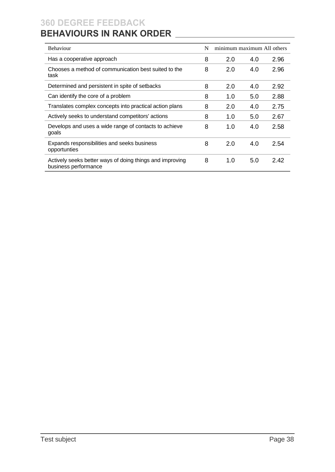# **BEHAVIOURS IN RANK ORDER**

| <b>Behaviour</b>                                                                 | N |     | minimum maximum All others |      |  |  |
|----------------------------------------------------------------------------------|---|-----|----------------------------|------|--|--|
| Has a cooperative approach                                                       | 8 | 2.0 | 4.0                        | 2.96 |  |  |
| Chooses a method of communication best suited to the<br>task                     | 8 | 2.0 | 4.0                        | 2.96 |  |  |
| Determined and persistent in spite of setbacks                                   | 8 | 2.0 | 4.0                        | 2.92 |  |  |
| Can identify the core of a problem                                               | 8 | 1.0 | 5.0                        | 2.88 |  |  |
| Translates complex concepts into practical action plans                          | 8 | 2.0 | 4.0                        | 2.75 |  |  |
| Actively seeks to understand competitors' actions                                | 8 | 1.0 | 5.0                        | 2.67 |  |  |
| Develops and uses a wide range of contacts to achieve<br>goals                   | 8 | 1.0 | 4.0                        | 2.58 |  |  |
| Expands responsibilities and seeks business<br>opportunties                      | 8 | 2.0 | 4.0                        | 2.54 |  |  |
| Actively seeks better ways of doing things and improving<br>business performance | 8 | 1.0 | 5.0                        | 2.42 |  |  |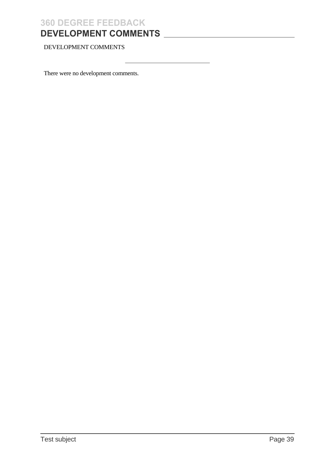## **360 DEGREE FEEDBACK DEVELOPMENT COMMENTS**

DEVELOPMENT COMMENTS

There were no development comments.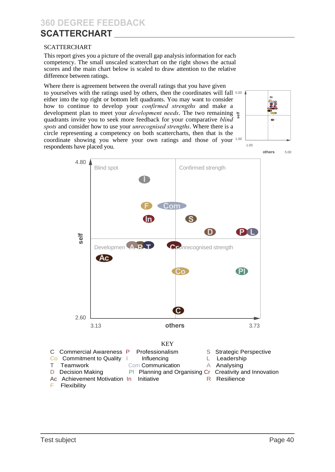#### SCATTERCHART

This report gives you a picture of the overall gap analysis information for each competency. The small unscaled scatterchart on the right shows the actual scores and the main chart below is scaled to draw attention to the relative difference between ratings.

development plan to meet your *development needs*. The two remaining  $\frac{1}{8}$ Where there is agreement between the overall ratings that you have given to yourselves with the ratings used by others, then the coordinates will fall 5.00 either into the top right or bottom left quadrants. You may want to consider how to continue to develop your *confirmed strengths* and make a quadrants invite you to seek more feedback for your comparative *blind spots* and consider how to use your *unrecognised strengths*. Where there is a circle representing a competency on both scattercharts, then that is the coordinate showing you where your own ratings and those of your 1.00 respondents have placed you.



**others** 5.00



- T Teamwork Com Communication A Analysing D Decision Making PI Planning and Organising Cr Creativity and Innovation
- Ac Achievement Motivation In Initiative R Resilience
- F Flexibility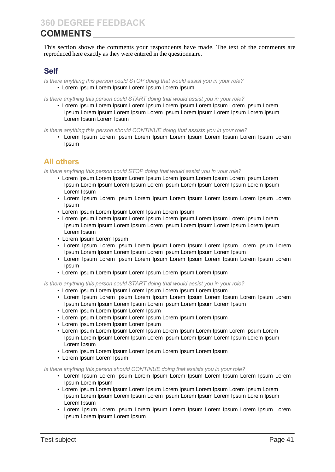## **COMMENTS**

This section shows the comments your respondents have made. The text of the comments are reproduced here exactly as they were entered in the questionnaire.

### **Self**

*Is there anything this person could STOP doing that would assist you in your role?*  • Lorem Ipsum Lorem Ipsum Lorem Ipsum Lorem Ipsum

*Is there anything this person could START doing that would assist you in your role?* 

• Lorem Ipsum Lorem Ipsum Lorem Ipsum Lorem Ipsum Lorem Ipsum Lorem Ipsum Lorem Ipsum Lorem Ipsum Lorem Ipsum Lorem Ipsum Lorem Ipsum Lorem Ipsum Lorem Ipsum Lorem Ipsum Lorem Ipsum

*Is there anything this person should CONTINUE doing that assists you in your role?* 

• Lorem Ipsum Lorem Ipsum Lorem Ipsum Lorem Ipsum Lorem Ipsum Lorem Ipsum Lorem Ipsum

### **All others**

*Is there anything this person could STOP doing that would assist you in your role?* 

- Lorem Ipsum Lorem Ipsum Lorem Ipsum Lorem Ipsum Lorem Ipsum Lorem Ipsum Lorem Ipsum Lorem Ipsum Lorem Ipsum Lorem Ipsum Lorem Ipsum Lorem Ipsum Lorem Ipsum Lorem Ipsum
- Lorem Ipsum Lorem Ipsum Lorem Ipsum Lorem Ipsum Lorem Ipsum Lorem Ipsum Lorem Ipsum
- Lorem Ipsum Lorem Ipsum Lorem Ipsum Lorem Ipsum
- Lorem Ipsum Lorem Ipsum Lorem Ipsum Lorem Ipsum Lorem Ipsum Lorem Ipsum Lorem Ipsum Lorem Ipsum Lorem Ipsum Lorem Ipsum Lorem Ipsum Lorem Ipsum Lorem Ipsum Lorem Ipsum
- Lorem Ipsum Lorem Ipsum
- Lorem Ipsum Lorem Ipsum Lorem Ipsum Lorem Ipsum Lorem Ipsum Lorem Ipsum Lorem Ipsum Lorem Ipsum Lorem Ipsum Lorem Ipsum Lorem Ipsum Lorem Ipsum
- Lorem Ipsum Lorem Ipsum Lorem Ipsum Lorem Ipsum Lorem Ipsum Lorem Ipsum Lorem Ipsum
- Lorem Ipsum Lorem Ipsum Lorem Ipsum Lorem Ipsum Lorem Ipsum

*Is there anything this person could START doing that would assist you in your role?* 

- Lorem Ipsum Lorem Ipsum Lorem Ipsum Lorem Ipsum Lorem Ipsum
	- Lorem Ipsum Lorem Ipsum Lorem Ipsum Lorem Ipsum Lorem Ipsum Lorem Ipsum Lorem Ipsum Lorem Ipsum Lorem Ipsum Lorem Ipsum Lorem Ipsum Lorem Ipsum
	- Lorem Ipsum Lorem Ipsum Lorem Ipsum
	- Lorem Ipsum Lorem Ipsum Lorem Ipsum Lorem Ipsum Lorem Ipsum
	- Lorem Ipsum Lorem Ipsum Lorem Ipsum
	- Lorem Ipsum Lorem Ipsum Lorem Ipsum Lorem Ipsum Lorem Ipsum Lorem Ipsum Lorem Ipsum Lorem Ipsum Lorem Ipsum Lorem Ipsum Lorem Ipsum Lorem Ipsum Lorem Ipsum Lorem Ipsum
	- Lorem Ipsum Lorem Ipsum Lorem Ipsum Lorem Ipsum Lorem Ipsum
	- Lorem Ipsum Lorem Ipsum

#### *Is there anything this person should CONTINUE doing that assists you in your role?*

- Lorem Ipsum Lorem Ipsum Lorem Ipsum Lorem Ipsum Lorem Ipsum Lorem Ipsum Lorem Ipsum Lorem Ipsum
- Lorem Ipsum Lorem Ipsum Lorem Ipsum Lorem Ipsum Lorem Ipsum Lorem Ipsum Lorem Ipsum Lorem Ipsum Lorem Ipsum Lorem Ipsum Lorem Ipsum Lorem Ipsum Lorem Ipsum Lorem Ipsum
- Lorem Ipsum Lorem Ipsum Lorem Ipsum Lorem Ipsum Lorem Ipsum Lorem Ipsum Lorem Ipsum Lorem Ipsum Lorem Ipsum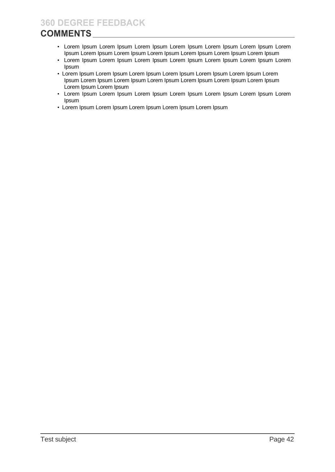# **COMMENTS**

- Lorem Ipsum Lorem Ipsum Lorem Ipsum Lorem Ipsum Lorem Ipsum Lorem Ipsum Lorem Ipsum Lorem Ipsum Lorem Ipsum Lorem Ipsum Lorem Ipsum Lorem Ipsum Lorem Ipsum
- Lorem Ipsum Lorem Ipsum Lorem Ipsum Lorem Ipsum Lorem Ipsum Lorem Ipsum Lorem Ipsum
- Lorem Ipsum Lorem Ipsum Lorem Ipsum Lorem Ipsum Lorem Ipsum Lorem Ipsum Lorem Ipsum Lorem Ipsum Lorem Ipsum Lorem Ipsum Lorem Ipsum Lorem Ipsum Lorem Ipsum Lorem Ipsum Lorem Ipsum
- Lorem Ipsum Lorem Ipsum Lorem Ipsum Lorem Ipsum Lorem Ipsum Lorem Ipsum Lorem Ipsum
- Lorem Ipsum Lorem Ipsum Lorem Ipsum Lorem Ipsum Lorem Ipsum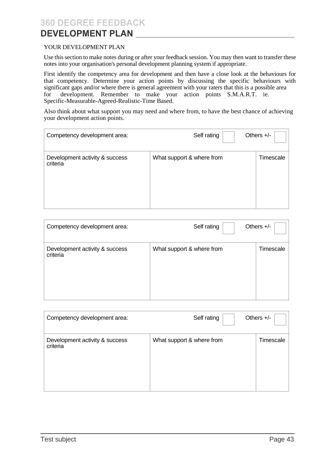## **DEVELOPMENT PLAN**

#### YOUR DEVELOPMENT PLAN

Use this section to make notes during or after your feedback session. You may then want to transfer these notes into your organisation's personal development planning system if appropriate.

First identify the competency area for development and then have a close look at the behaviours for that competency. Determine your action points by discussing the specific behaviours with significant gaps and/or where there is general agreement with your raters that this is a possible area for development. Remember to make your action points S.M.A.R.T. ie. Specific-Measurable-Agreed-Realistic-Time Based.

Also think about what support you may need and where from, to have the best chance of achieving your development action points.

| Competency development area:               | Others $+/-$<br>Self rating |           |
|--------------------------------------------|-----------------------------|-----------|
| Development activity & success<br>criteria | What support & where from   | Timescale |

| Competency development area:               | Others $+/-$<br>Self rating |           |
|--------------------------------------------|-----------------------------|-----------|
| Development activity & success<br>criteria | What support & where from   | Timescale |

| Competency development area:               | Others $+/-$<br>Self rating |           |
|--------------------------------------------|-----------------------------|-----------|
| Development activity & success<br>criteria | What support & where from   | Timescale |